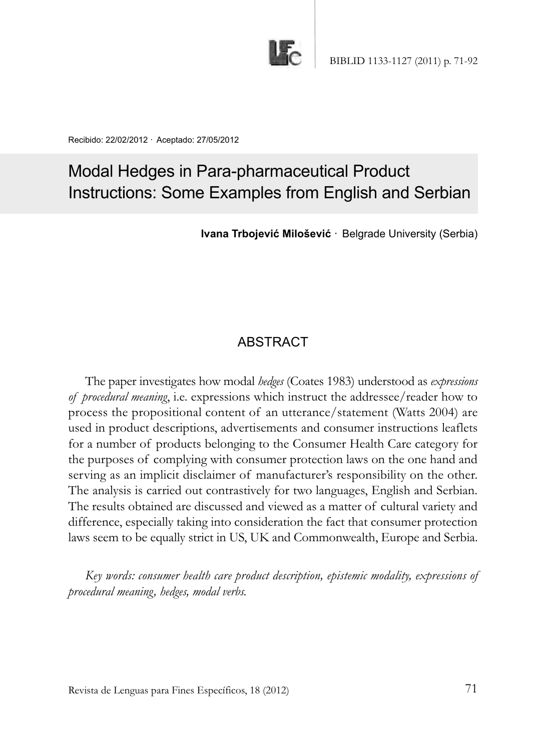

Recibido: 22/02/2012 · Aceptado: 27/05/2012

# Modal Hedges in Para-pharmaceutical Product Instructions: Some Examples from English and Serbian

**Ivana Trbojević Milošević** · Belgrade University (Serbia)

# **ABSTRACT**

The paper investigates how modal *hedges* (Coates 1983) understood as *expressions of procedural meaning*, i.e. expressions which instruct the addressee/reader how to process the propositional content of an utterance/statement (Watts 2004) are used in product descriptions, advertisements and consumer instructions leaflets for a number of products belonging to the Consumer Health Care category for the purposes of complying with consumer protection laws on the one hand and serving as an implicit disclaimer of manufacturer's responsibility on the other. The analysis is carried out contrastively for two languages, English and Serbian. The results obtained are discussed and viewed as a matter of cultural variety and difference, especially taking into consideration the fact that consumer protection laws seem to be equally strict in US, UK and Commonwealth, Europe and Serbia.

*Key words: consumer health care product description, epistemic modality, expressions of procedural meaning, hedges, modal verbs.*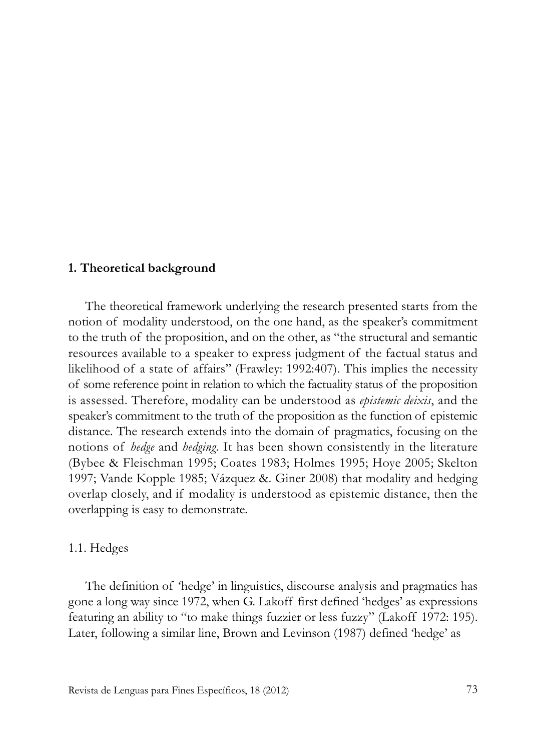#### **1. Theoretical background**

The theoretical framework underlying the research presented starts from the notion of modality understood, on the one hand, as the speaker's commitment to the truth of the proposition, and on the other, as "the structural and semantic resources available to a speaker to express judgment of the factual status and likelihood of a state of affairs" (Frawley: 1992:407). This implies the necessity of some reference point in relation to which the factuality status of the proposition is assessed. Therefore, modality can be understood as *epistemic deixis*, and the speaker's commitment to the truth of the proposition as the function of epistemic distance. The research extends into the domain of pragmatics, focusing on the notions of *hedge* and *hedging*. It has been shown consistently in the literature (Bybee & Fleischman 1995; Coates 1983; Holmes 1995; Hoye 2005; Skelton 1997; Vande Kopple 1985; Vázquez &. Giner 2008) that modality and hedging overlap closely, and if modality is understood as epistemic distance, then the overlapping is easy to demonstrate.

#### 1.1. Hedges

The definition of 'hedge' in linguistics, discourse analysis and pragmatics has gone a long way since 1972, when G. Lakoff first defined 'hedges' as expressions featuring an ability to "to make things fuzzier or less fuzzy" (Lakoff 1972: 195). Later, following a similar line, Brown and Levinson (1987) defined 'hedge' as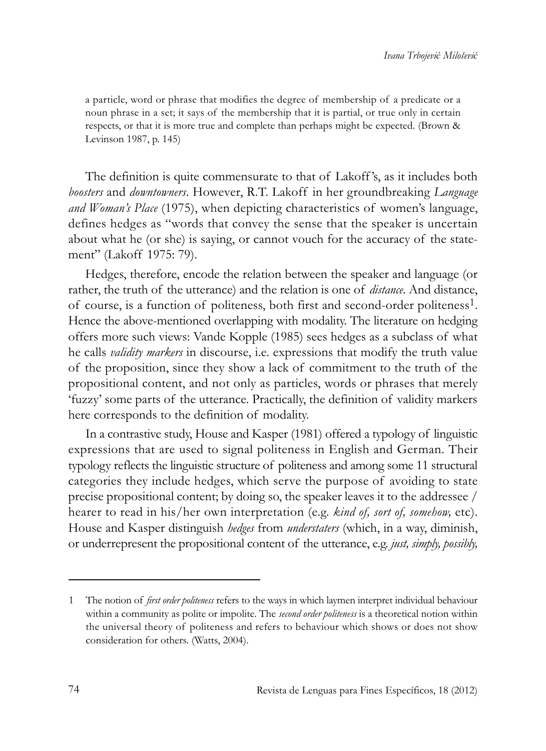a particle, word or phrase that modifies the degree of membership of a predicate or a noun phrase in a set; it says of the membership that it is partial, or true only in certain respects, or that it is more true and complete than perhaps might be expected. (Brown & Levinson 1987, p. 145)

The definition is quite commensurate to that of Lakoff 's, as it includes both *boosters* and *downtowners*. However, R.T. Lakoff in her groundbreaking *Language and Woman's Place* (1975), when depicting characteristics of women's language, defines hedges as "words that convey the sense that the speaker is uncertain about what he (or she) is saying, or cannot vouch for the accuracy of the statement" (Lakoff 1975: 79).

Hedges, therefore, encode the relation between the speaker and language (or rather, the truth of the utterance) and the relation is one of *distance*. And distance, of course, is a function of politeness, both first and second-order politeness1. Hence the above-mentioned overlapping with modality. The literature on hedging offers more such views: Vande Kopple (1985) sees hedges as a subclass of what he calls *validity markers* in discourse, i.e. expressions that modify the truth value of the proposition, since they show a lack of commitment to the truth of the propositional content, and not only as particles, words or phrases that merely 'fuzzy' some parts of the utterance. Practically, the definition of validity markers here corresponds to the definition of modality.

In a contrastive study, House and Kasper (1981) offered a typology of linguistic expressions that are used to signal politeness in English and German. Their typology reflects the linguistic structure of politeness and among some 11 structural categories they include hedges, which serve the purpose of avoiding to state precise propositional content; by doing so, the speaker leaves it to the addressee / hearer to read in his/her own interpretation (e.g. *kind of, sort of, somehow,* etc). House and Kasper distinguish *hedges* from *understaters* (which, in a way, diminish, or underrepresent the propositional content of the utterance, e.g. *just, simply, possibly,*

<sup>1</sup> The notion of *first order politeness* refers to the ways in which laymen interpret individual behaviour within a community as polite or impolite. The *second order politeness* is a theoretical notion within the universal theory of politeness and refers to behaviour which shows or does not show consideration for others. (Watts, 2004).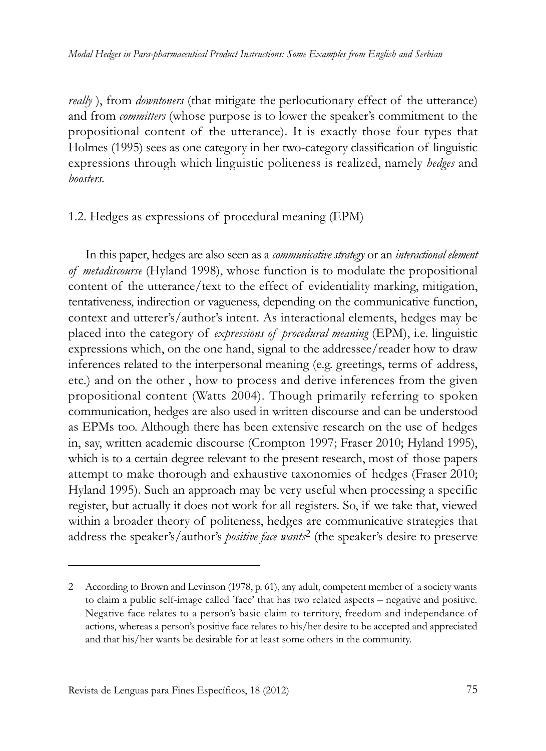*really* ), from *downtoners* (that mitigate the perlocutionary effect of the utterance) and from *committers* (whose purpose is to lower the speaker's commitment to the propositional content of the utterance). It is exactly those four types that Holmes (1995) sees as one category in her two-category classification of linguistic expressions through which linguistic politeness is realized, namely *hedges* and *boosters.*

#### 1.2. Hedges as expressions of procedural meaning (EPM)

In this paper, hedges are also seen as a *communicative strategy* or an *interactional element of metadiscourse* (Hyland 1998), whose function is to modulate the propositional content of the utterance/text to the effect of evidentiality marking, mitigation, tentativeness, indirection or vagueness, depending on the communicative function, context and utterer's/author's intent. As interactional elements, hedges may be placed into the category of *expressions of procedural meaning* (EPM), i.e. linguistic expressions which, on the one hand, signal to the addressee/reader how to draw inferences related to the interpersonal meaning (e.g. greetings, terms of address, etc.) and on the other , how to process and derive inferences from the given propositional content (Watts 2004). Though primarily referring to spoken communication, hedges are also used in written discourse and can be understood as EPMs too. Although there has been extensive research on the use of hedges in, say, written academic discourse (Crompton 1997; Fraser 2010; Hyland 1995), which is to a certain degree relevant to the present research, most of those papers attempt to make thorough and exhaustive taxonomies of hedges (Fraser 2010; Hyland 1995). Such an approach may be very useful when processing a specific register, but actually it does not work for all registers. So, if we take that, viewed within a broader theory of politeness, hedges are communicative strategies that address the speaker's/author's *positive face wants*2 (the speaker's desire to preserve

<sup>2</sup> According to Brown and Levinson (1978, p. 61), any adult, competent member of a society wants to claim a public self-image called 'face' that has two related aspects – negative and positive. Negative face relates to a person's basic claim to territory, freedom and independance of actions, whereas a person's positive face relates to his/her desire to be accepted and appreciated and that his/her wants be desirable for at least some others in the community.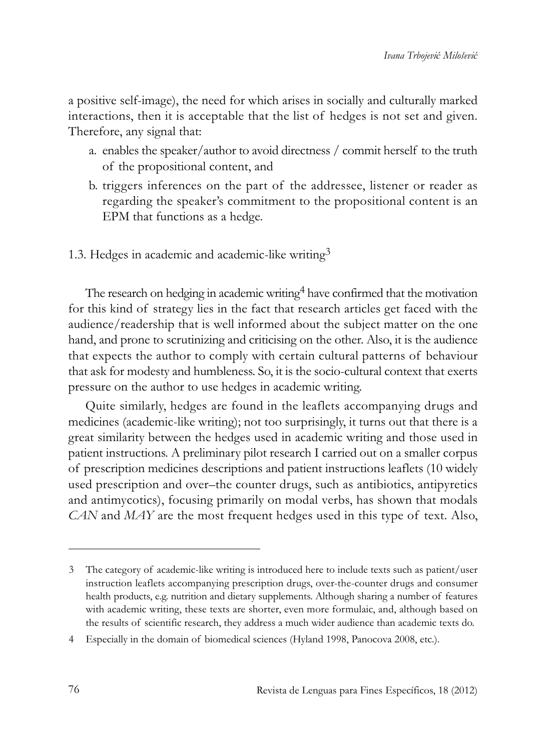a positive self-image), the need for which arises in socially and culturally marked interactions, then it is acceptable that the list of hedges is not set and given. Therefore, any signal that:

- a. enables the speaker/author to avoid directness / commit herself to the truth of the propositional content, and
- b. triggers inferences on the part of the addressee, listener or reader as regarding the speaker's commitment to the propositional content is an EPM that functions as a hedge.
- 1.3. Hedges in academic and academic-like writing<sup>3</sup>

The research on hedging in academic writing<sup>4</sup> have confirmed that the motivation for this kind of strategy lies in the fact that research articles get faced with the audience/readership that is well informed about the subject matter on the one hand, and prone to scrutinizing and criticising on the other. Also, it is the audience that expects the author to comply with certain cultural patterns of behaviour that ask for modesty and humbleness. So, it is the socio-cultural context that exerts pressure on the author to use hedges in academic writing.

Quite similarly, hedges are found in the leaflets accompanying drugs and medicines (academic-like writing); not too surprisingly, it turns out that there is a great similarity between the hedges used in academic writing and those used in patient instructions. A preliminary pilot research I carried out on a smaller corpus of prescription medicines descriptions and patient instructions leaflets (10 widely used prescription and over–the counter drugs, such as antibiotics, antipyretics and antimycotics), focusing primarily on modal verbs, has shown that modals *CAN* and *MAY* are the most frequent hedges used in this type of text. Also,

4 Especially in the domain of biomedical sciences (Hyland 1998, Panocova 2008, etc.).

<sup>3</sup> The category of academic-like writing is introduced here to include texts such as patient/user instruction leaflets accompanying prescription drugs, over-the-counter drugs and consumer health products, e.g. nutrition and dietary supplements. Although sharing a number of features with academic writing, these texts are shorter, even more formulaic, and, although based on the results of scientific research, they address a much wider audience than academic texts do.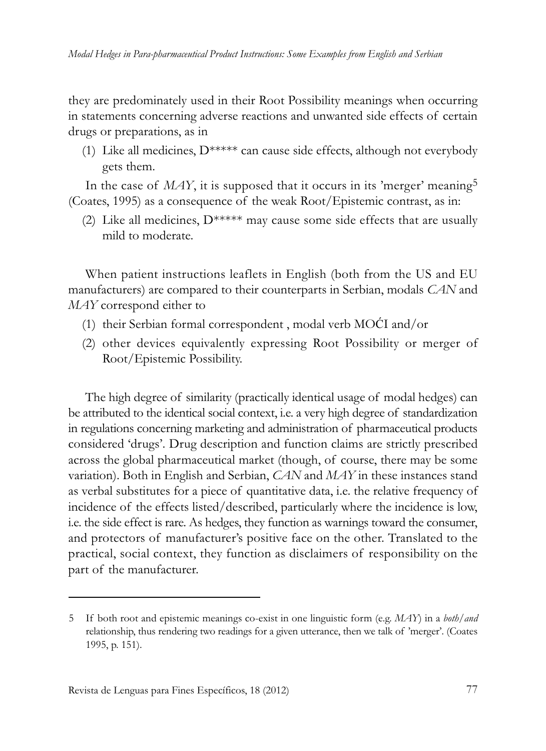they are predominately used in their Root Possibility meanings when occurring in statements concerning adverse reactions and unwanted side effects of certain drugs or preparations, as in

(1) Like all medicines, D\*\*\*\*\* can cause side effects, although not everybody gets them.

In the case of  $MAY$ , it is supposed that it occurs in its 'merger' meaning<sup>5</sup> (Coates, 1995) as a consequence of the weak Root/Epistemic contrast, as in:

(2) Like all medicines,  $D^{****}$  may cause some side effects that are usually mild to moderate.

When patient instructions leaflets in English (both from the US and EU manufacturers) are compared to their counterparts in Serbian, modals *CAN* and *MAY* correspond either to

- (1) their Serbian formal correspondent , modal verb MOĆI and/or
- (2) other devices equivalently expressing Root Possibility or merger of Root/Epistemic Possibility.

The high degree of similarity (practically identical usage of modal hedges) can be attributed to the identical social context, i.e. a very high degree of standardization in regulations concerning marketing and administration of pharmaceutical products considered 'drugs'. Drug description and function claims are strictly prescribed across the global pharmaceutical market (though, of course, there may be some variation). Both in English and Serbian, *CAN* and *MAY* in these instances stand as verbal substitutes for a piece of quantitative data, i.e. the relative frequency of incidence of the effects listed/described, particularly where the incidence is low, i.e. the side effect is rare. As hedges, they function as warnings toward the consumer, and protectors of manufacturer's positive face on the other. Translated to the practical, social context, they function as disclaimers of responsibility on the part of the manufacturer.

<sup>5</sup> If both root and epistemic meanings co-exist in one linguistic form (e.g. *MAY*) in a *both/and* relationship, thus rendering two readings for a given utterance, then we talk of 'merger'. (Coates 1995, p. 151).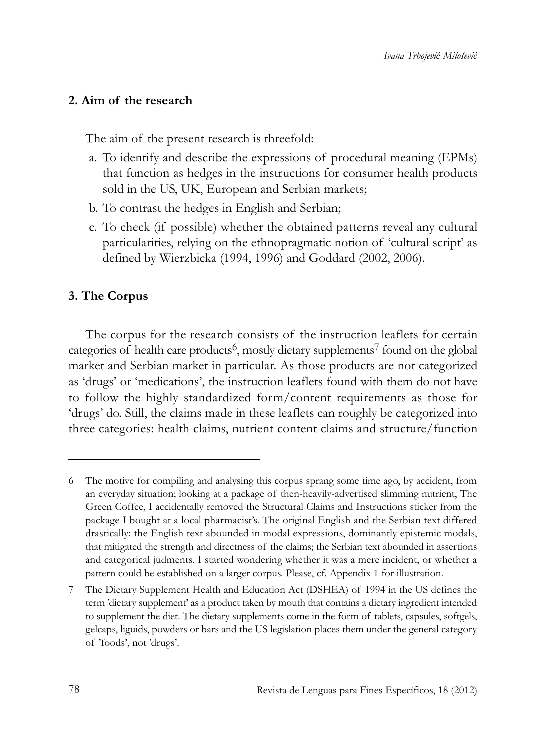### **2. Aim of the research**

The aim of the present research is threefold:

- a. To identify and describe the expressions of procedural meaning (EPMs) that function as hedges in the instructions for consumer health products sold in the US, UK, European and Serbian markets;
- b. To contrast the hedges in English and Serbian;
- c. To check (if possible) whether the obtained patterns reveal any cultural particularities, relying on the ethnopragmatic notion of 'cultural script' as defined by Wierzbicka (1994, 1996) and Goddard (2002, 2006).

#### **3. The Corpus**

The corpus for the research consists of the instruction leaflets for certain categories of health care products<sup>6</sup>, mostly dietary supplements<sup>7</sup> found on the global market and Serbian market in particular. As those products are not categorized as 'drugs' or 'medications', the instruction leaflets found with them do not have to follow the highly standardized form/content requirements as those for 'drugs' do. Still, the claims made in these leaflets can roughly be categorized into three categories: health claims, nutrient content claims and structure/function

<sup>6</sup> The motive for compiling and analysing this corpus sprang some time ago, by accident, from an everyday situation; looking at a package of then-heavily-advertised slimming nutrient, The Green Coffee, I accidentally removed the Structural Claims and Instructions sticker from the package I bought at a local pharmacist's. The original English and the Serbian text differed drastically: the English text abounded in modal expressions, dominantly epistemic modals, that mitigated the strength and directness of the claims; the Serbian text abounded in assertions and categorical judments. I started wondering whether it was a mere incident, or whether a pattern could be established on a larger corpus. Please, cf. Appendix 1 for illustration.

<sup>7</sup> The Dietary Supplement Health and Education Act (DSHEA) of 1994 in the US defines the term 'dietary supplement' as a product taken by mouth that contains a dietary ingredient intended to supplement the diet. The dietary supplements come in the form of tablets, capsules, softgels, gelcaps, liguids, powders or bars and the US legislation places them under the general category of 'foods', not 'drugs'.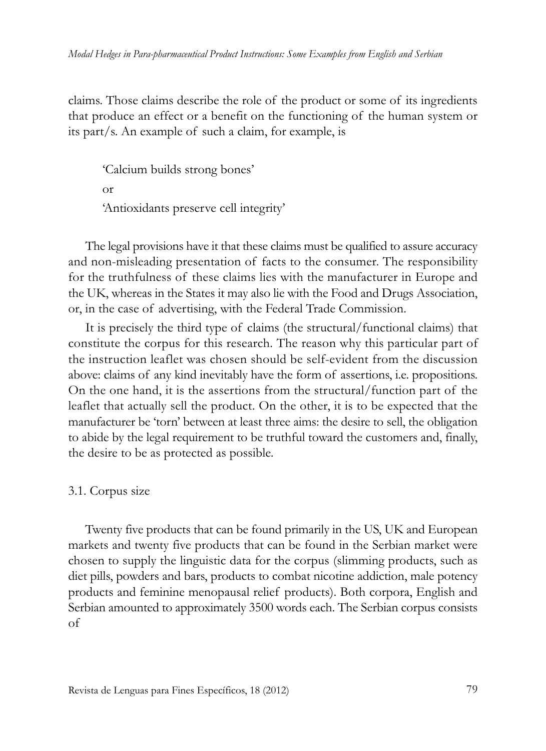claims. Those claims describe the role of the product or some of its ingredients that produce an effect or a benefit on the functioning of the human system or its part/s. An example of such a claim, for example, is

'Calcium builds strong bones' or 'Antioxidants preserve cell integrity'

The legal provisions have it that these claims must be qualified to assure accuracy and non-misleading presentation of facts to the consumer. The responsibility for the truthfulness of these claims lies with the manufacturer in Europe and the UK, whereas in the States it may also lie with the Food and Drugs Association, or, in the case of advertising, with the Federal Trade Commission.

It is precisely the third type of claims (the structural/functional claims) that constitute the corpus for this research. The reason why this particular part of the instruction leaflet was chosen should be self-evident from the discussion above: claims of any kind inevitably have the form of assertions, i.e. propositions. On the one hand, it is the assertions from the structural/function part of the leaflet that actually sell the product. On the other, it is to be expected that the manufacturer be 'torn' between at least three aims: the desire to sell, the obligation to abide by the legal requirement to be truthful toward the customers and, finally, the desire to be as protected as possible.

#### 3.1. Corpus size

Twenty five products that can be found primarily in the US, UK and European markets and twenty five products that can be found in the Serbian market were chosen to supply the linguistic data for the corpus (slimming products, such as diet pills, powders and bars, products to combat nicotine addiction, male potency products and feminine menopausal relief products). Both corpora, English and Serbian amounted to approximately 3500 words each. The Serbian corpus consists of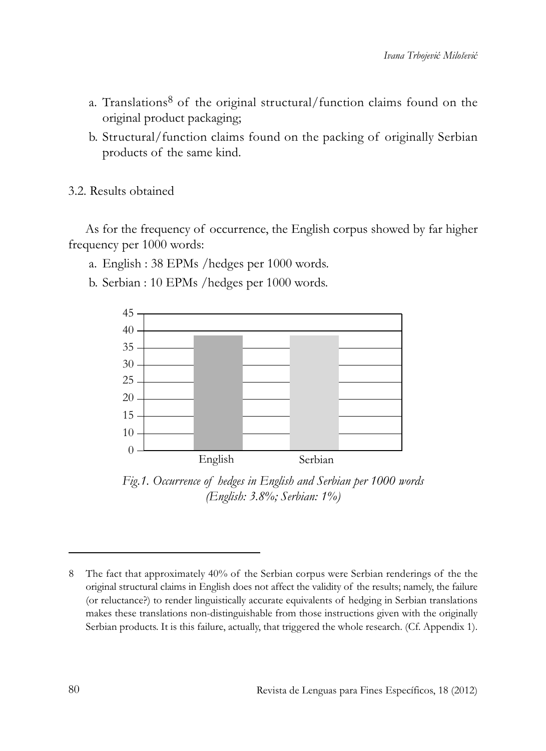- a. Translations $8$  of the original structural/function claims found on the original product packaging;
- b. Structural/function claims found on the packing of originally Serbian products of the same kind.

3.2. Results obtained

As for the frequency of occurrence, the English corpus showed by far higher frequency per 1000 words:

- a. English : 38 EPMs /hedges per 1000 words.
- b. Serbian : 10 EPMs /hedges per 1000 words.



*Fig.1. Occurrence of hedges in English and Serbian per 1000 words (English: 3.8%; Serbian: 1%)*

<sup>8</sup> The fact that approximately 40% of the Serbian corpus were Serbian renderings of the the original structural claims in English does not affect the validity of the results; namely, the failure (or reluctance?) to render linguistically accurate equivalents of hedging in Serbian translations makes these translations non-distinguishable from those instructions given with the originally Serbian products. It is this failure, actually, that triggered the whole research. (Cf. Appendix 1).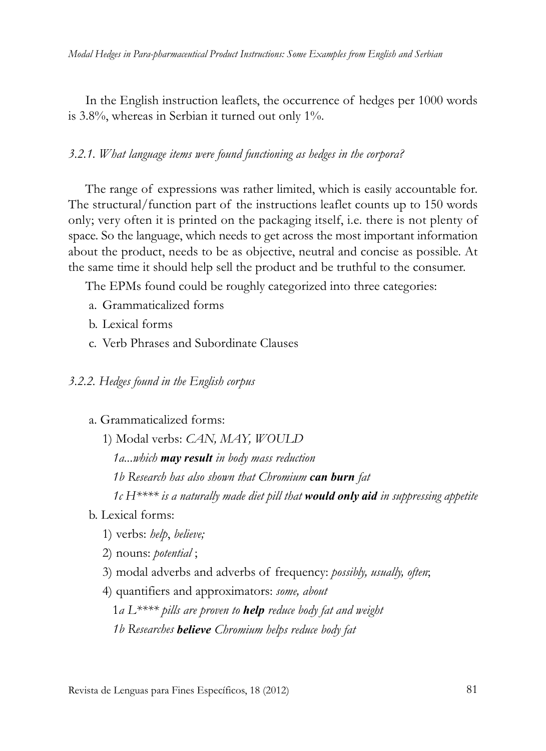In the English instruction leaflets, the occurrence of hedges per 1000 words is 3.8%, whereas in Serbian it turned out only 1%.

#### *3.2.1. What language items were found functioning as hedges in the corpora?*

The range of expressions was rather limited, which is easily accountable for. The structural/function part of the instructions leaflet counts up to 150 words only; very often it is printed on the packaging itself, i.e. there is not plenty of space. So the language, which needs to get across the most important information about the product, needs to be as objective, neutral and concise as possible. At the same time it should help sell the product and be truthful to the consumer.

The EPMs found could be roughly categorized into three categories:

- a. Grammaticalized forms
- b. Lexical forms
- c. Verb Phrases and Subordinate Clauses

#### *3.2.2. Hedges found in the English corpus*

- a. Grammaticalized forms:
	- 1) Modal verbs: *CAN, MAY, WOULD*

*1a...which may result in body mass reduction* 

*1b Research has also shown that Chromium can burn fat* 

*1c H\*\*\*\* is a naturally made diet pill that would only aid in suppressing appetite*

b. Lexical forms:

- 1) verbs: *help*, *believe;*
- 2) nouns: *potential* ;
- 3) modal adverbs and adverbs of frequency: *possibly, usually, often*;
- 4) quantifiers and approximators: *some, about*

1*a L\*\*\*\* pills are proven to help reduce body fat and weight 1b Researches believe Chromium helps reduce body fat*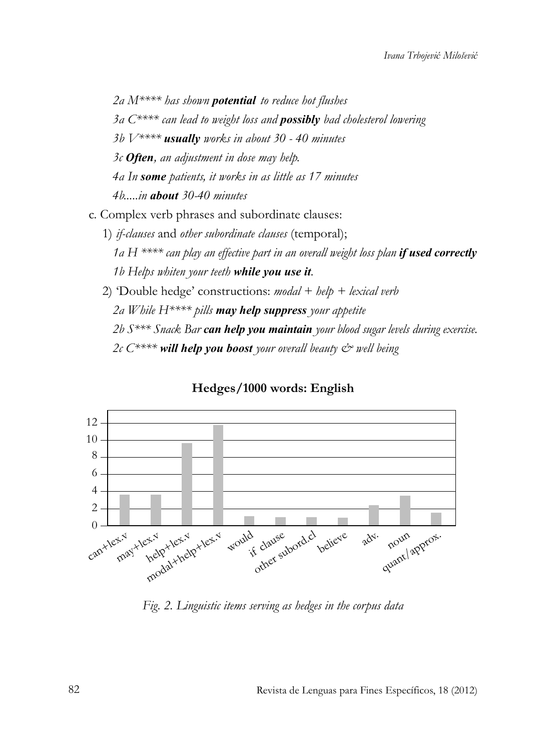*2a M\*\*\*\* has shown potential to reduce hot flushes 3a C\*\*\*\* can lead to weight loss and possibly bad cholesterol lowering 3b V\*\*\*\* usually works in about 30 - 40 minutes 3c Often, an adjustment in dose may help. 4a In some patients, it works in as little as 17 minutes 4b.....in about 30-40 minutes* 

c. Complex verb phrases and subordinate clauses:

- 1) *if-clauses* and *other subordinate clauses* (temporal); *1a H \*\*\*\* can play an effective part in an overall weight loss plan if used correctly 1b Helps whiten your teeth while you use it.*
- 2) 'Double hedge' constructions: *modal + help + lexical verb 2a While H\*\*\*\* pills may help suppress your appetite 2b S\*\*\* Snack Bar can help you maintain your blood sugar levels during exercise. 2c C\*\*\*\* will help you boost your overall beauty & well being*



#### **Hedges/1000 words: English**

*Fig. 2. Linguistic items serving as hedges in the corpus data*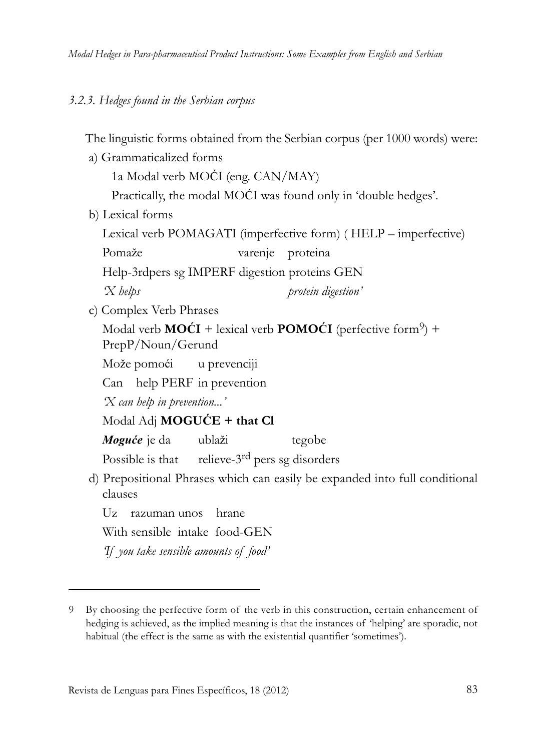#### *3.2.3. Hedges found in the Serbian corpus*

The linguistic forms obtained from the Serbian corpus (per 1000 words) were:

a) Grammaticalized forms

1a Modal verb MOĆI (eng. CAN/MAY)

Practically, the modal MOĆI was found only in 'double hedges'.

b) Lexical forms

Lexical verb POMAGATI (imperfective form) ( HELP – imperfective)

Pomaže varenje proteina

Help-3rdpers sg IMPERF digestion proteins GEN

*'X helps protein digestion'*

c) Complex Verb Phrases

Modal verb  $MO\acute{C}I$  + lexical verb  $POMO\acute{C}I$  (perfective form<sup>9</sup>) + PrepP/Noun/Gerund

Može pomoći u prevenciji

Can help PERF in prevention

*'X can help in prevention...'*

Modal Adj **MOGUĆE + that Cl** 

*Moguće* je da ublaži tegobe

Possible is that relieve-3<sup>rd</sup> pers sg disorders

d) Prepositional Phrases which can easily be expanded into full conditional clauses

Uz razuman unos hrane

With sensible intake food-GEN

*'If you take sensible amounts of food'*

<sup>9</sup> By choosing the perfective form of the verb in this construction, certain enhancement of hedging is achieved, as the implied meaning is that the instances of 'helping' are sporadic, not habitual (the effect is the same as with the existential quantifier 'sometimes').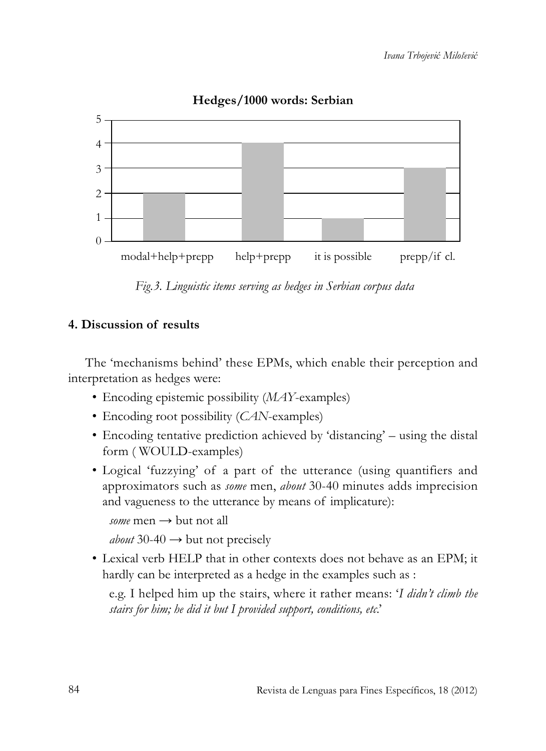

# **Hedges/1000 words: Serbian**

*Fig.3. Linguistic items serving as hedges in Serbian corpus data* 

# **4. Discussion of results**

The 'mechanisms behind' these EPMs, which enable their perception and interpretation as hedges were:

- Encoding epistemic possibility (*MAY*-examples)
- Encoding root possibility (*CAN*-examples)
- Encoding tentative prediction achieved by 'distancing' using the distal form ( WOULD-examples)
- Logical 'fuzzying' of a part of the utterance (using quantifiers and approximators such as *some* men, *about* 30-40 minutes adds imprecision and vagueness to the utterance by means of implicature):

```
some men \rightarrow but not all
```

```
about 30-40 \rightarrow but not precisely
```
• Lexical verb HELP that in other contexts does not behave as an EPM; it hardly can be interpreted as a hedge in the examples such as :

e.g. I helped him up the stairs, where it rather means: '*I didn't climb the stairs for him; he did it but I provided support, conditions, etc*.'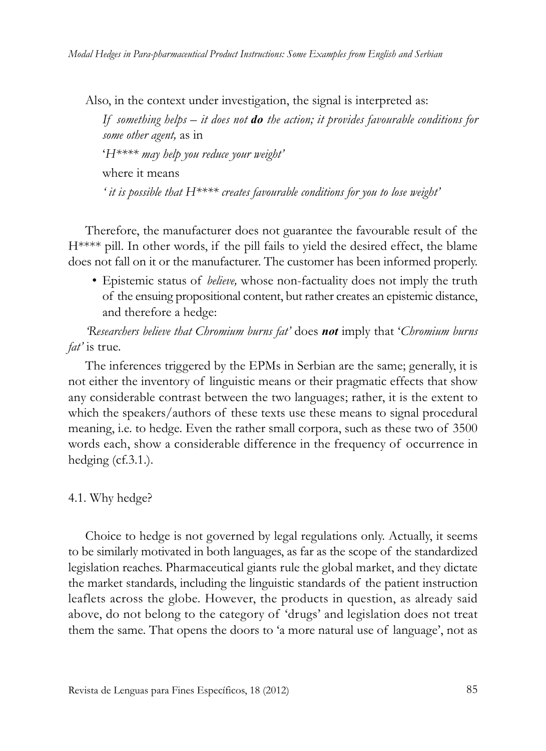Also, in the context under investigation, the signal is interpreted as:

*If something helps – it does not do the action; it provides favourable conditions for some other agent,* as in '*H\*\*\*\* may help you reduce your weight'* where it means *' it is possible that H\*\*\*\* creates favourable conditions for you to lose weight'*

Therefore, the manufacturer does not guarantee the favourable result of the H\*\*\*\* pill. In other words, if the pill fails to yield the desired effect, the blame does not fall on it or the manufacturer. The customer has been informed properly.

• Epistemic status of *believe,* whose non-factuality does not imply the truth of the ensuing propositional content, but rather creates an epistemic distance, and therefore a hedge:

*'Researchers believe that Chromium burns fat'* does *not* imply that '*Chromium burns fat'* is true*.* 

The inferences triggered by the EPMs in Serbian are the same; generally, it is not either the inventory of linguistic means or their pragmatic effects that show any considerable contrast between the two languages; rather, it is the extent to which the speakers/authors of these texts use these means to signal procedural meaning, i.e. to hedge. Even the rather small corpora, such as these two of 3500 words each, show a considerable difference in the frequency of occurrence in hedging (cf.3.1.).

4.1. Why hedge?

Choice to hedge is not governed by legal regulations only. Actually, it seems to be similarly motivated in both languages, as far as the scope of the standardized legislation reaches. Pharmaceutical giants rule the global market, and they dictate the market standards, including the linguistic standards of the patient instruction leaflets across the globe. However, the products in question, as already said above, do not belong to the category of 'drugs' and legislation does not treat them the same. That opens the doors to 'a more natural use of language', not as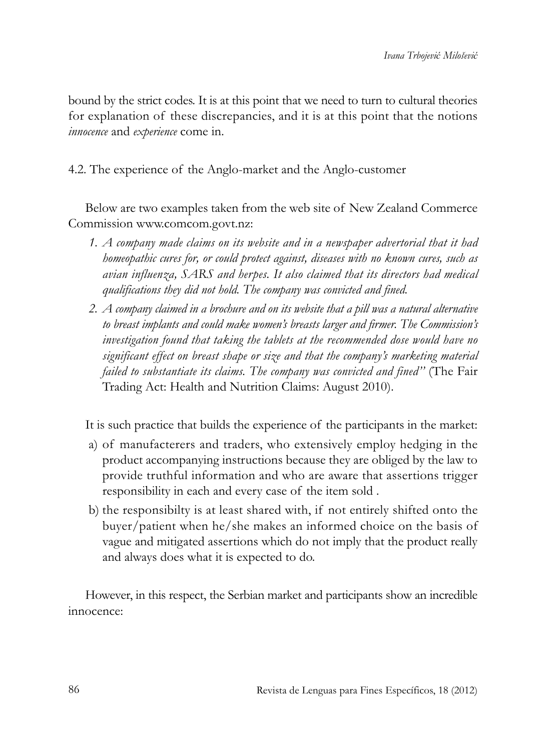bound by the strict codes. It is at this point that we need to turn to cultural theories for explanation of these discrepancies, and it is at this point that the notions *innocence* and *experience* come in.

4.2. The experience of the Anglo-market and the Anglo-customer

Below are two examples taken from the web site of New Zealand Commerce Commission www.comcom.govt.nz:

- *1. A company made claims on its website and in a newspaper advertorial that it had homeopathic cures for, or could protect against, diseases with no known cures, such as avian influenza, SARS and herpes. It also claimed that its directors had medical qualifications they did not hold. The company was convicted and fined.*
- *2. A company claimed in a brochure and on its website that a pill was a natural alternative to breast implants and could make women's breasts larger and firmer. The Commission's investigation found that taking the tablets at the recommended dose would have no significant effect on breast shape or size and that the company's marketing material failed to substantiate its claims. The company was convicted and fined''* (The Fair Trading Act: Health and Nutrition Claims: August 2010).

It is such practice that builds the experience of the participants in the market:

- a) of manufacterers and traders, who extensively employ hedging in the product accompanying instructions because they are obliged by the law to provide truthful information and who are aware that assertions trigger responsibility in each and every case of the item sold .
- b) the responsibilty is at least shared with, if not entirely shifted onto the buyer/patient when he/she makes an informed choice on the basis of vague and mitigated assertions which do not imply that the product really and always does what it is expected to do.

However, in this respect, the Serbian market and participants show an incredible innocence: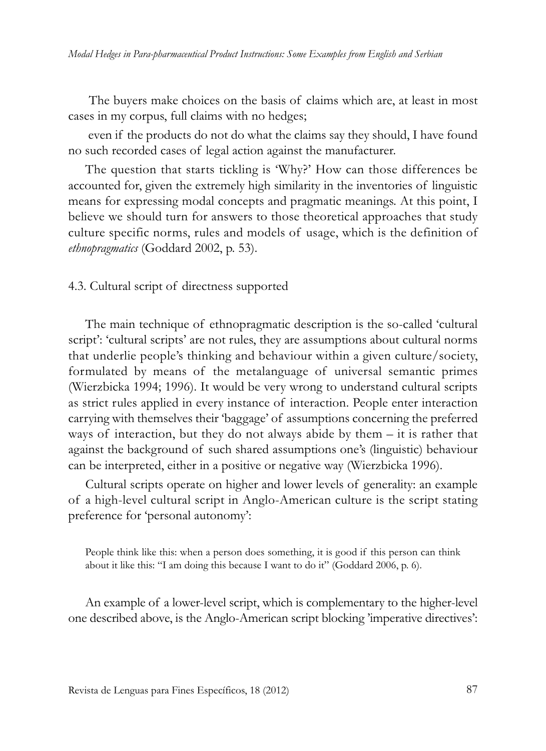The buyers make choices on the basis of claims which are, at least in most cases in my corpus, full claims with no hedges;

even if the products do not do what the claims say they should, I have found no such recorded cases of legal action against the manufacturer.

The question that starts tickling is 'Why?' How can those differences be accounted for, given the extremely high similarity in the inventories of linguistic means for expressing modal concepts and pragmatic meanings. At this point, I believe we should turn for answers to those theoretical approaches that study culture specific norms, rules and models of usage, which is the definition of *ethnopragmatics* (Goddard 2002, p. 53).

4.3. Cultural script of directness supported

The main technique of ethnopragmatic description is the so-called 'cultural script': 'cultural scripts' are not rules, they are assumptions about cultural norms that underlie people's thinking and behaviour within a given culture/society, formulated by means of the metalanguage of universal semantic primes (Wierzbicka 1994; 1996). It would be very wrong to understand cultural scripts as strict rules applied in every instance of interaction. People enter interaction carrying with themselves their 'baggage' of assumptions concerning the preferred ways of interaction, but they do not always abide by them – it is rather that against the background of such shared assumptions one's (linguistic) behaviour can be interpreted, either in a positive or negative way (Wierzbicka 1996).

Cultural scripts operate on higher and lower levels of generality: an example of a high-level cultural script in Anglo-American culture is the script stating preference for 'personal autonomy':

People think like this: when a person does something, it is good if this person can think about it like this: "I am doing this because I want to do it" (Goddard 2006, p. 6).

An example of a lower-level script, which is complementary to the higher-level one described above, is the Anglo-American script blocking 'imperative directives':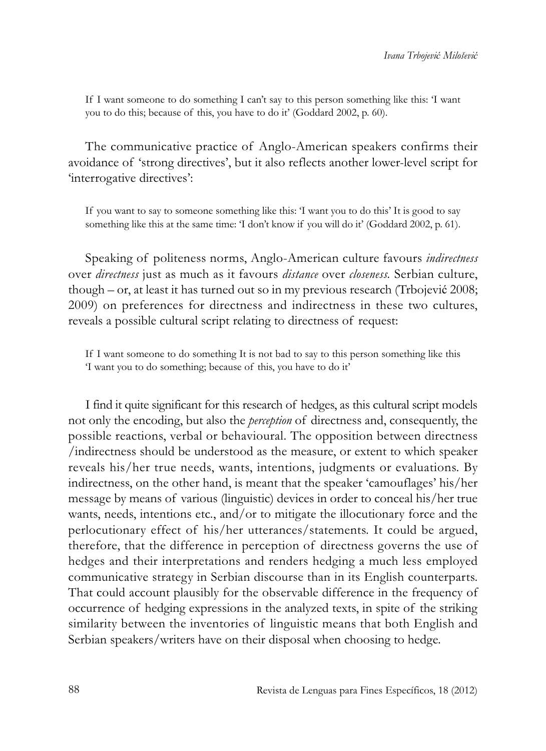If I want someone to do something I can't say to this person something like this: 'I want you to do this; because of this, you have to do it' (Goddard 2002, p. 60).

The communicative practice of Anglo-American speakers confirms their avoidance of 'strong directives', but it also reflects another lower-level script for 'interrogative directives':

If you want to say to someone something like this: 'I want you to do this' It is good to say something like this at the same time: 'I don't know if you will do it' (Goddard 2002, p. 61).

Speaking of politeness norms, Anglo-American culture favours *indirectness* over *directness* just as much as it favours *distance* over *closeness.* Serbian culture, though – or, at least it has turned out so in my previous research (Trbojević 2008; 2009) on preferences for directness and indirectness in these two cultures, reveals a possible cultural script relating to directness of request:

If I want someone to do something It is not bad to say to this person something like this 'I want you to do something; because of this, you have to do it'

I find it quite significant for this research of hedges, as this cultural script models not only the encoding, but also the *perception* of directness and, consequently, the possible reactions, verbal or behavioural. The opposition between directness /indirectness should be understood as the measure, or extent to which speaker reveals his/her true needs, wants, intentions, judgments or evaluations. By indirectness, on the other hand, is meant that the speaker 'camouflages' his/her message by means of various (linguistic) devices in order to conceal his/her true wants, needs, intentions etc., and/or to mitigate the illocutionary force and the perlocutionary effect of his/her utterances/statements. It could be argued, therefore, that the difference in perception of directness governs the use of hedges and their interpretations and renders hedging a much less employed communicative strategy in Serbian discourse than in its English counterparts. That could account plausibly for the observable difference in the frequency of occurrence of hedging expressions in the analyzed texts, in spite of the striking similarity between the inventories of linguistic means that both English and Serbian speakers/writers have on their disposal when choosing to hedge.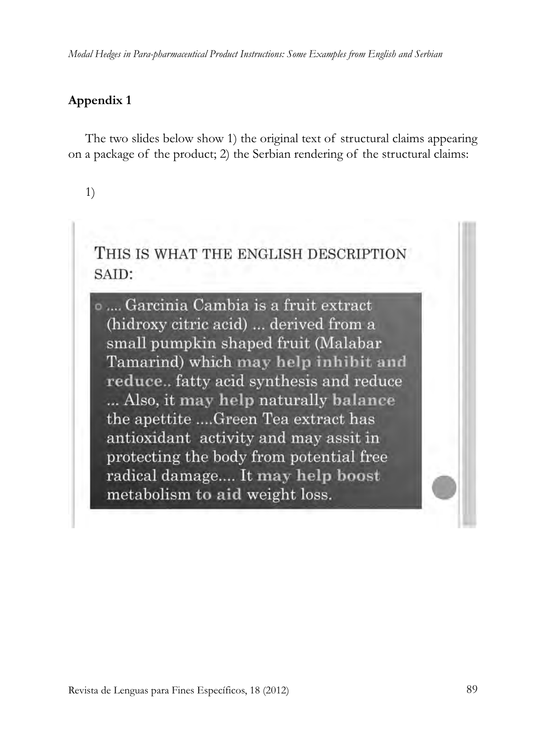## **Appendix 1**

The two slides below show 1) the original text of structural claims appearing on a package of the product; 2) the Serbian rendering of the structural claims:

# 1)

THIS IS WHAT THE ENGLISH DESCRIPTION SAID:

o .... Garcinia Cambia is a fruit extract (hidroxy citric acid) ... derived from a small pumpkin shaped fruit (Malabar Tamarind) which may help inhibit and reduce.. fatty acid synthesis and reduce ... Also, it may help naturally balance the apettite ....Green Tea extract has antioxidant activity and may assit in protecting the body from potential free radical damage.... It may help boost metabolism to aid weight loss.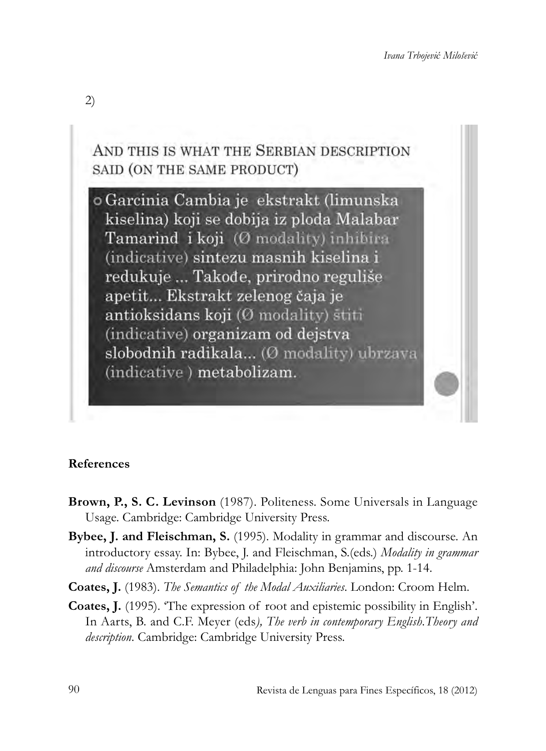

#### **References**

- **Brown, P., S. C. Levinson** (1987). Politeness. Some Universals in Language Usage. Cambridge: Cambridge University Press.
- **Bybee, J. and Fleischman, S.** (1995). Modality in grammar and discourse. An introductory essay. In: Bybee, J. and Fleischman, S.(eds.) *Modality in grammar and discourse* Amsterdam and Philadelphia: John Benjamins, pp. 1-14.
- **Coates, J.** (1983). *The Semantics of the Modal Auxiliaries*. London: Croom Helm.
- **Coates, J.** (1995). 'The expression of root and epistemic possibility in English'. In Aarts, B. and C.F. Meyer (eds*), The verb in contemporary English.Theory and description*. Cambridge: Cambridge University Press.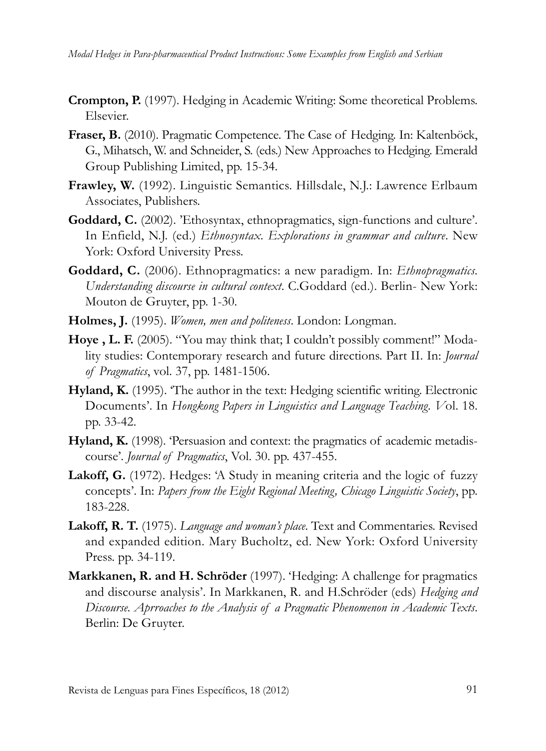- **Crompton, P.** (1997). Hedging in Academic Writing: Some theoretical Problems. Elsevier.
- **Fraser, B.** (2010). Pragmatic Competence. The Case of Hedging. In: Kaltenböck, G., Mihatsch, W. and Schneider, S. (eds.) New Approaches to Hedging. Emerald Group Publishing Limited, pp. 15-34.
- **Frawley, W.** (1992). Linguistic Semantics. Hillsdale, N.J.: Lawrence Erlbaum Associates, Publishers.
- **Goddard, C.** (2002). 'Ethosyntax, ethnopragmatics, sign-functions and culture'. In Enfield, N.J. (ed.) *Ethnosyntax. Explorations in grammar and culture*. New York: Oxford University Press.
- **Goddard, C.** (2006). Ethnopragmatics: a new paradigm. In: *Ethnopragmatics. Understanding discourse in cultural context*. C.Goddard (ed.). Berlin- New York: Mouton de Gruyter, pp. 1-30.
- **Holmes, J.** (1995). *Women, men and politeness*. London: Longman.
- Hove , L. F. (2005). "You may think that; I couldn't possibly comment!" Modality studies: Contemporary research and future directions. Part II. In: *Journal of Pragmatics*, vol. 37, pp. 1481-1506.
- **Hyland, K.** (1995). 'The author in the text: Hedging scientific writing. Electronic Documents'. In *Hongkong Papers in Linguistics and Language Teaching. V*ol. 18. pp. 33-42.
- Hyland, K. (1998). 'Persuasion and context: the pragmatics of academic metadiscourse'. *Journal of Pragmatics*, Vol. 30. pp. 437-455.
- Lakoff, G. (1972). Hedges: 'A Study in meaning criteria and the logic of fuzzy concepts'. In: *Papers from the Eight Regional Meeting, Chicago Linguistic Society*, pp. 183-228.
- **Lakoff, R. T.** (1975). *Language and woman's place*. Text and Commentaries. Revised and expanded edition. Mary Bucholtz, ed. New York: Oxford University Press. pp. 34-119.
- **Markkanen, R. and H. Schröder** (1997). 'Hedging: A challenge for pragmatics and discourse analysis'. In Markkanen, R. and H.Schröder (eds) *Hedging and Discourse. Aprroaches to the Analysis of a Pragmatic Phenomenon in Academic Texts*. Berlin: De Gruyter.